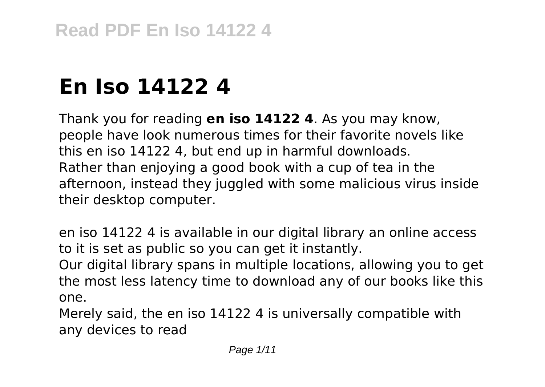# **En Iso 14122 4**

Thank you for reading **en iso 14122 4**. As you may know, people have look numerous times for their favorite novels like this en iso 14122 4, but end up in harmful downloads. Rather than enjoying a good book with a cup of tea in the afternoon, instead they juggled with some malicious virus inside their desktop computer.

en iso 14122 4 is available in our digital library an online access to it is set as public so you can get it instantly.

Our digital library spans in multiple locations, allowing you to get the most less latency time to download any of our books like this one.

Merely said, the en iso 14122 4 is universally compatible with any devices to read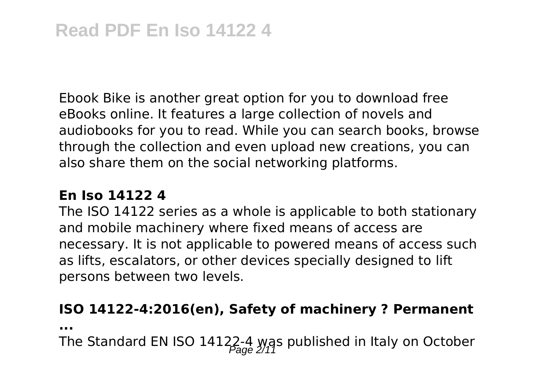Ebook Bike is another great option for you to download free eBooks online. It features a large collection of novels and audiobooks for you to read. While you can search books, browse through the collection and even upload new creations, you can also share them on the social networking platforms.

# **En Iso 14122 4**

The ISO 14122 series as a whole is applicable to both stationary and mobile machinery where fixed means of access are necessary. It is not applicable to powered means of access such as lifts, escalators, or other devices specially designed to lift persons between two levels.

# **ISO 14122-4:2016(en), Safety of machinery ? Permanent**

**...**

The Standard EN ISO 14122-4 was published in Italy on October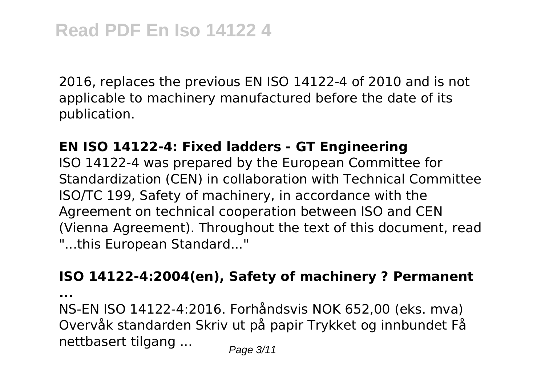2016, replaces the previous EN ISO 14122-4 of 2010 and is not applicable to machinery manufactured before the date of its publication.

#### **EN ISO 14122-4: Fixed ladders - GT Engineering**

ISO 14122-4 was prepared by the European Committee for Standardization (CEN) in collaboration with Technical Committee ISO/TC 199, Safety of machinery, in accordance with the Agreement on technical cooperation between ISO and CEN (Vienna Agreement). Throughout the text of this document, read "...this European Standard..."

#### **ISO 14122-4:2004(en), Safety of machinery ? Permanent**

**...**

NS-EN ISO 14122-4:2016. Forhåndsvis NOK 652,00 (eks. mva) Overvåk standarden Skriv ut på papir Trykket og innbundet Få nettbasert tilgang ...  $_{\text{Page 3/11}}$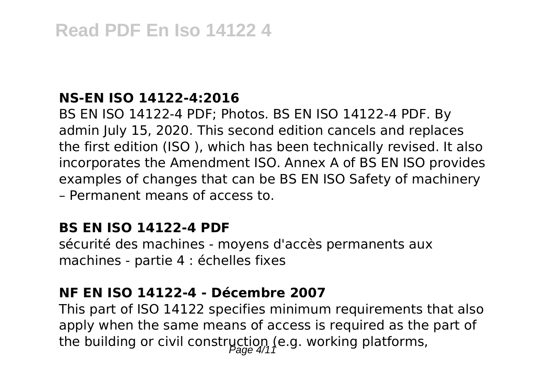## **NS-EN ISO 14122-4:2016**

BS EN ISO 14122-4 PDF; Photos. BS EN ISO 14122-4 PDF. By admin July 15, 2020. This second edition cancels and replaces the first edition (ISO ), which has been technically revised. It also incorporates the Amendment ISO. Annex A of BS EN ISO provides examples of changes that can be BS EN ISO Safety of machinery – Permanent means of access to.

#### **BS EN ISO 14122-4 PDF**

sécurité des machines - moyens d'accès permanents aux machines - partie 4 : échelles fixes

# **NF EN ISO 14122-4 - Décembre 2007**

This part of ISO 14122 specifies minimum requirements that also apply when the same means of access is required as the part of the building or civil construction (e.g. working platforms,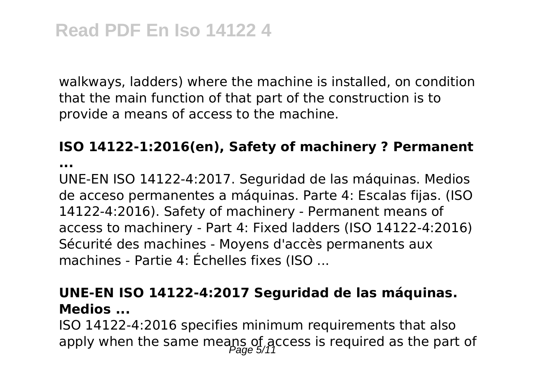walkways, ladders) where the machine is installed, on condition that the main function of that part of the construction is to provide a means of access to the machine.

#### **ISO 14122-1:2016(en), Safety of machinery ? Permanent**

**...**

UNE-EN ISO 14122-4:2017. Seguridad de las máquinas. Medios de acceso permanentes a máquinas. Parte 4: Escalas fijas. (ISO 14122-4:2016). Safety of machinery - Permanent means of access to machinery - Part 4: Fixed ladders (ISO 14122-4:2016) Sécurité des machines - Moyens d'accès permanents aux machines - Partie 4: Échelles fixes (ISO ...

# **UNE-EN ISO 14122-4:2017 Seguridad de las máquinas. Medios ...**

ISO 14122-4:2016 specifies minimum requirements that also apply when the same meaps of access is required as the part of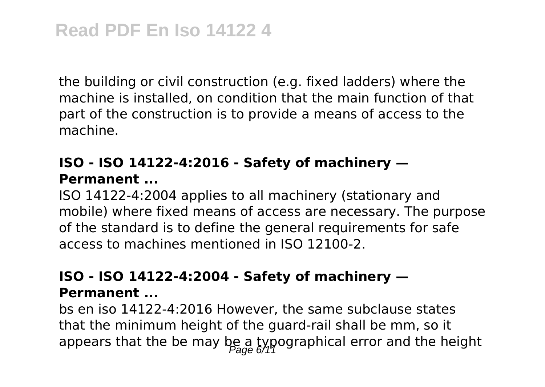the building or civil construction (e.g. fixed ladders) where the machine is installed, on condition that the main function of that part of the construction is to provide a means of access to the machine.

# **ISO - ISO 14122-4:2016 - Safety of machinery — Permanent ...**

ISO 14122-4:2004 applies to all machinery (stationary and mobile) where fixed means of access are necessary. The purpose of the standard is to define the general requirements for safe access to machines mentioned in ISO 12100-2.

## **ISO - ISO 14122-4:2004 - Safety of machinery — Permanent ...**

bs en iso 14122-4:2016 However, the same subclause states that the minimum height of the guard-rail shall be mm, so it appears that the be may be a typographical error and the height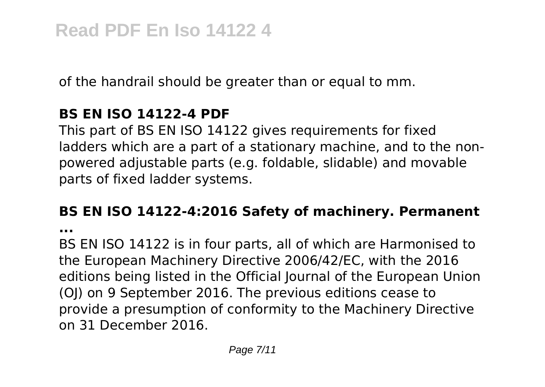of the handrail should be greater than or equal to mm.

# **BS EN ISO 14122-4 PDF**

This part of BS EN ISO 14122 gives requirements for fixed ladders which are a part of a stationary machine, and to the nonpowered adjustable parts (e.g. foldable, slidable) and movable parts of fixed ladder systems.

# **BS EN ISO 14122-4:2016 Safety of machinery. Permanent**

**...**

BS EN ISO 14122 is in four parts, all of which are Harmonised to the European Machinery Directive 2006/42/EC, with the 2016 editions being listed in the Official Journal of the European Union (OJ) on 9 September 2016. The previous editions cease to provide a presumption of conformity to the Machinery Directive on 31 December 2016.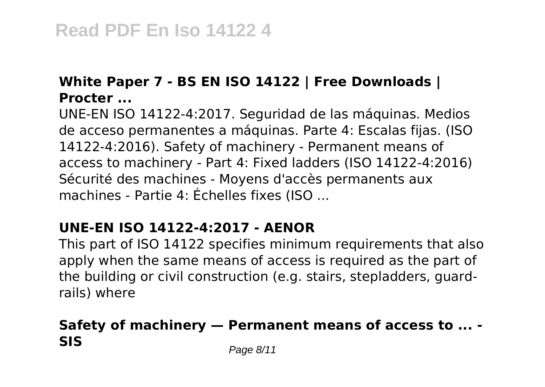# **White Paper 7 - BS EN ISO 14122 | Free Downloads | Procter ...**

UNE-EN ISO 14122-4:2017. Seguridad de las máquinas. Medios de acceso permanentes a máquinas. Parte 4: Escalas fijas. (ISO 14122-4:2016). Safety of machinery - Permanent means of access to machinery - Part 4: Fixed ladders (ISO 14122-4:2016) Sécurité des machines - Moyens d'accès permanents aux machines - Partie 4: Échelles fixes (ISO ...

# **UNE-EN ISO 14122-4:2017 - AENOR**

This part of ISO 14122 specifies minimum requirements that also apply when the same means of access is required as the part of the building or civil construction (e.g. stairs, stepladders, guardrails) where

# **Safety of machinery — Permanent means of access to ... - SIS** Page 8/11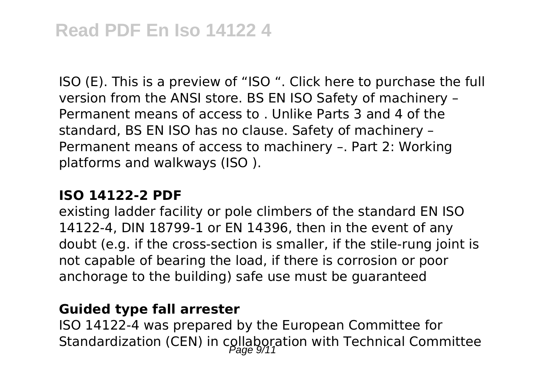ISO (E). This is a preview of "ISO ". Click here to purchase the full version from the ANSI store. BS EN ISO Safety of machinery – Permanent means of access to . Unlike Parts 3 and 4 of the standard, BS EN ISO has no clause. Safety of machinery – Permanent means of access to machinery –. Part 2: Working platforms and walkways (ISO ).

#### **ISO 14122-2 PDF**

existing ladder facility or pole climbers of the standard EN ISO 14122-4, DIN 18799-1 or EN 14396, then in the event of any doubt (e.g. if the cross-section is smaller, if the stile-rung joint is not capable of bearing the load, if there is corrosion or poor anchorage to the building) safe use must be guaranteed

# **Guided type fall arrester**

ISO 14122-4 was prepared by the European Committee for Standardization (CEN) in collaboration with Technical Committee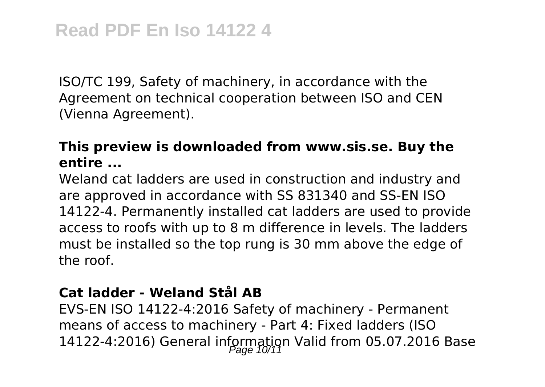ISO/TC 199, Safety of machinery, in accordance with the Agreement on technical cooperation between ISO and CEN (Vienna Agreement).

# **This preview is downloaded from www.sis.se. Buy the entire ...**

Weland cat ladders are used in construction and industry and are approved in accordance with SS 831340 and SS-EN ISO 14122-4. Permanently installed cat ladders are used to provide access to roofs with up to 8 m difference in levels. The ladders must be installed so the top rung is 30 mm above the edge of the roof.

# **Cat ladder - Weland Stål AB**

EVS-EN ISO 14122-4:2016 Safety of machinery - Permanent means of access to machinery - Part 4: Fixed ladders (ISO 14122-4:2016) General information Valid from 05.07.2016 Base